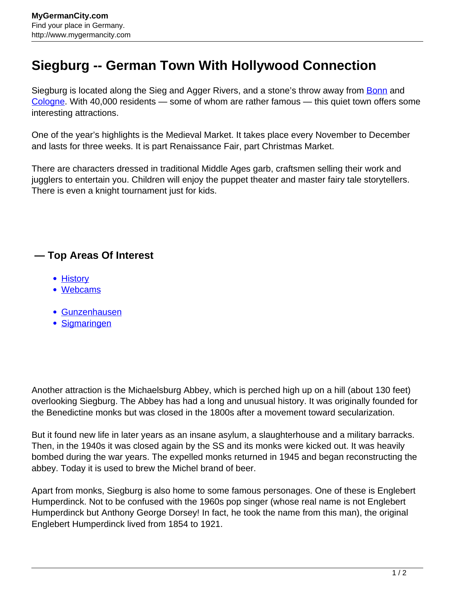## **Siegburg -- German Town With Hollywood Connection**

Siegburg is located along the Sieg and Agger Rivers, and a stone's throw away from [Bonn](http://www.mygermancity.com/bonn) and [Cologne](http://www.mygermancity.com/cologne). With 40,000 residents — some of whom are rather famous — this quiet town offers some interesting attractions.

One of the year's highlights is the Medieval Market. It takes place every November to December and lasts for three weeks. It is part Renaissance Fair, part Christmas Market.

There are characters dressed in traditional Middle Ages garb, craftsmen selling their work and jugglers to entertain you. Children will enjoy the puppet theater and master fairy tale storytellers. There is even a knight tournament just for kids.

## **— Top Areas Of Interest**

- [History](http://www.mygermancity.com/leipzig-history)
- [Webcams](http://www.mygermancity.com/neustadt-holstein-webcams)
- [Gunzenhausen](http://www.mygermancity.com/gunzenhausen)
- [Sigmaringen](http://www.mygermancity.com/sigmaringen)

Another attraction is the Michaelsburg Abbey, which is perched high up on a hill (about 130 feet) overlooking Siegburg. The Abbey has had a long and unusual history. It was originally founded for the Benedictine monks but was closed in the 1800s after a movement toward secularization.

But it found new life in later years as an insane asylum, a slaughterhouse and a military barracks. Then, in the 1940s it was closed again by the SS and its monks were kicked out. It was heavily bombed during the war years. The expelled monks returned in 1945 and began reconstructing the abbey. Today it is used to brew the Michel brand of beer.

Apart from monks, Siegburg is also home to some famous personages. One of these is Englebert Humperdinck. Not to be confused with the 1960s pop singer (whose real name is not Englebert Humperdinck but Anthony George Dorsey! In fact, he took the name from this man), the original Englebert Humperdinck lived from 1854 to 1921.